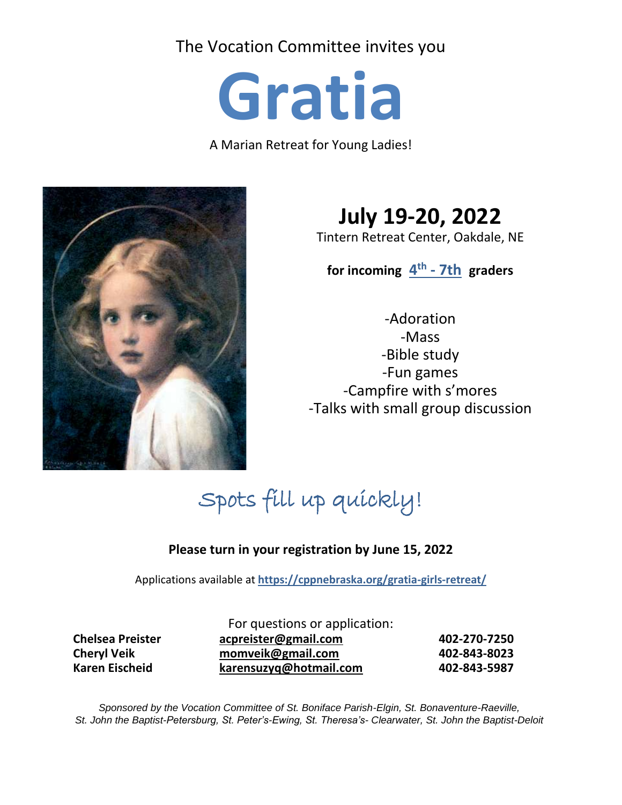The Vocation Committee invites you

**Gratia**

A Marian Retreat for Young Ladies!



**July 19-20, 2022**

Tintern Retreat Center, Oakdale, NE

**for incoming 4 th - 7th graders**

-Adoration -Mass -Bible study -Fun games -Campfire with s'mores -Talks with small group discussion

Spots fill up quickly!

# **Please turn in your registration by June 15, 2022**

Applications available at **<https://cppnebraska.org/gratia-girls-retreat/>**

For questions or application: **Chelsea Preister [acpreister@gmail.com](mailto:acpreister@gmail.com) 402-270-7250 Cheryl Veik [momveik@gmail.com](mailto:momveik@gmail.com) 402-843-8023 Karen Eischeid [karensuzyq@hotmail.com](mailto:karensuzyq@hotmail.com) 402-843-5987**

*Sponsored by the Vocation Committee of St. Boniface Parish-Elgin, St. Bonaventure-Raeville, St. John the Baptist-Petersburg, St. Peter's-Ewing, St. Theresa's- Clearwater, St. John the Baptist-Deloit*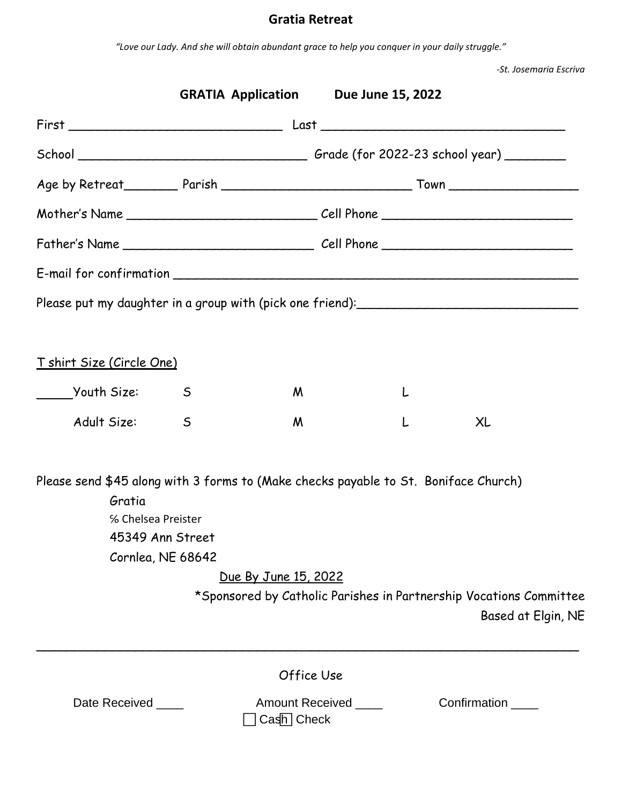# **Gratia Retreat**

*"Love our Lady. And she will obtain abundant grace to help you conquer in your daily struggle."*

*-St. Josemaria Escriva*

|                                                                                                                                                              |              | <b>GRATIA Application</b> Due June 15, 2022 |   |                                                                                          |  |  |
|--------------------------------------------------------------------------------------------------------------------------------------------------------------|--------------|---------------------------------------------|---|------------------------------------------------------------------------------------------|--|--|
|                                                                                                                                                              |              |                                             |   |                                                                                          |  |  |
|                                                                                                                                                              |              |                                             |   |                                                                                          |  |  |
|                                                                                                                                                              |              |                                             |   |                                                                                          |  |  |
|                                                                                                                                                              |              |                                             |   |                                                                                          |  |  |
|                                                                                                                                                              |              |                                             |   |                                                                                          |  |  |
|                                                                                                                                                              |              |                                             |   |                                                                                          |  |  |
|                                                                                                                                                              |              |                                             |   |                                                                                          |  |  |
|                                                                                                                                                              |              |                                             |   |                                                                                          |  |  |
| <u>T shirt Size (Circle One)</u>                                                                                                                             |              |                                             |   |                                                                                          |  |  |
| Youth Size:                                                                                                                                                  | $\mathsf{S}$ | M                                           | L |                                                                                          |  |  |
| Adult Size:                                                                                                                                                  | $\mathsf{S}$ | M                                           | L | XL                                                                                       |  |  |
| Please send \$45 along with 3 forms to (Make checks payable to St. Boniface Church)<br>Gratia<br>% Chelsea Preister<br>45349 Ann Street<br>Cornlea, NE 68642 |              |                                             |   |                                                                                          |  |  |
|                                                                                                                                                              |              | Due By June 15, 2022                        |   |                                                                                          |  |  |
|                                                                                                                                                              |              |                                             |   | *Sponsored by Catholic Parishes in Partnership Vocations Committee<br>Based at Elgin, NE |  |  |
|                                                                                                                                                              |              | Office Use                                  |   |                                                                                          |  |  |
| Date Received _____                                                                                                                                          |              | Amount Received ____<br>$Casn$ Check        |   | Confirmation _____                                                                       |  |  |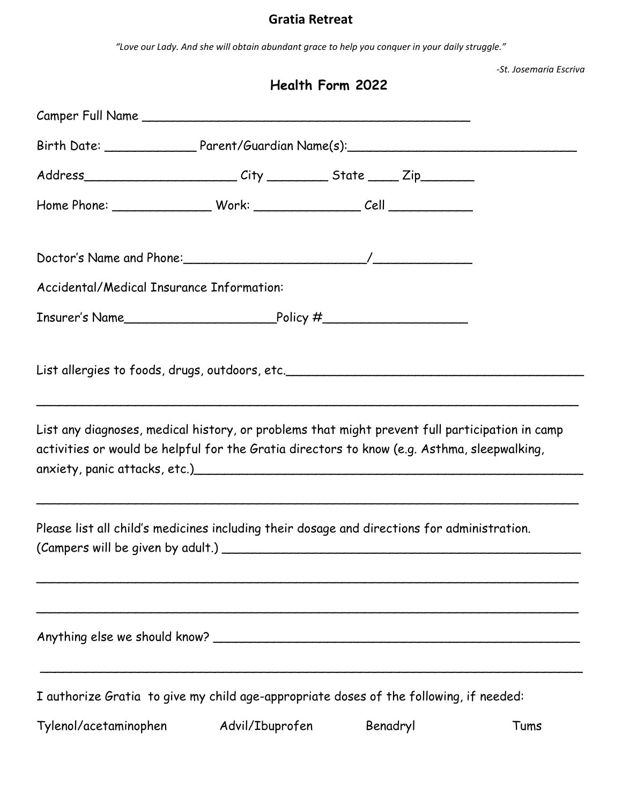#### **Gratia Retreat**

*"Love our Lady. And she will obtain abundant grace to help you conquer in your daily struggle."*

|  |                                                                                             | <b>Health Form 2022</b>                                                          | -St. Josemaria Escriva                                                                         |  |  |
|--|---------------------------------------------------------------------------------------------|----------------------------------------------------------------------------------|------------------------------------------------------------------------------------------------|--|--|
|  |                                                                                             |                                                                                  |                                                                                                |  |  |
|  |                                                                                             | Birth Date: ______________________Parent/Guardian Name(s):______________________ |                                                                                                |  |  |
|  | Address________________________________City ______________State _______ Zip___________      |                                                                                  |                                                                                                |  |  |
|  |                                                                                             |                                                                                  |                                                                                                |  |  |
|  |                                                                                             |                                                                                  |                                                                                                |  |  |
|  | <b>Accidental/Medical Insurance Information:</b>                                            |                                                                                  |                                                                                                |  |  |
|  |                                                                                             |                                                                                  |                                                                                                |  |  |
|  | activities or would be helpful for the Gratia directors to know (e.g. Asthma, sleepwalking, |                                                                                  | List any diagnoses, medical history, or problems that might prevent full participation in camp |  |  |
|  | Please list all child's medicines including their dosage and directions for administration. |                                                                                  |                                                                                                |  |  |
|  |                                                                                             |                                                                                  |                                                                                                |  |  |
|  | I authorize Gratia to give my child age-appropriate doses of the following, if needed:      |                                                                                  |                                                                                                |  |  |
|  | Tylenol/acetaminophen     Advil/Ibuprofen     Benadryl                                      |                                                                                  | Tums                                                                                           |  |  |